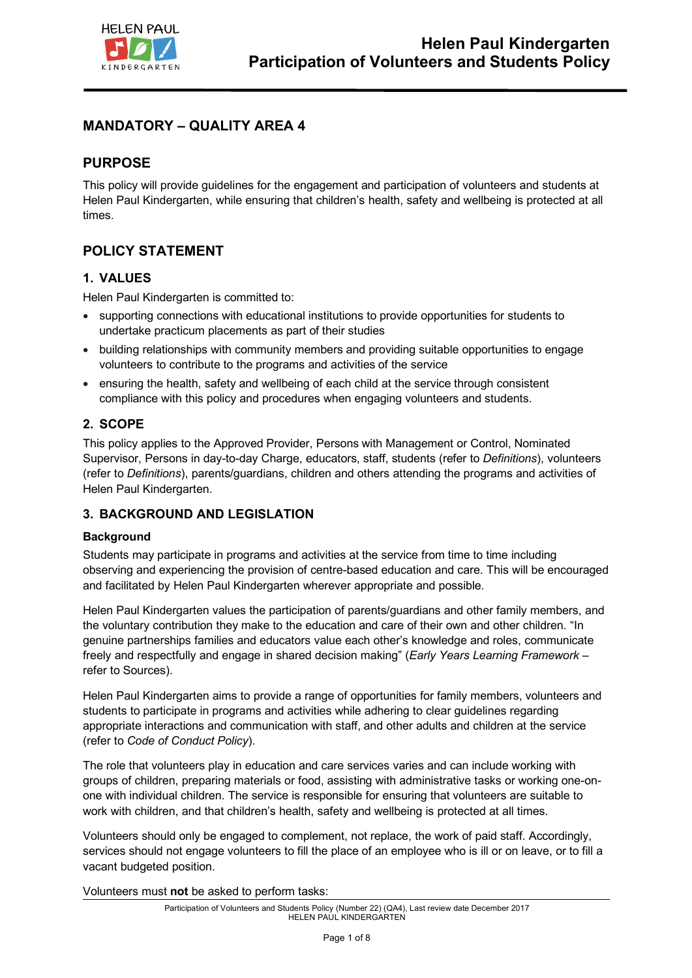

# **MANDATORY – QUALITY AREA 4**

## **PURPOSE**

This policy will provide guidelines for the engagement and participation of volunteers and students at Helen Paul Kindergarten, while ensuring that children's health, safety and wellbeing is protected at all times.

## **POLICY STATEMENT**

### **1. VALUES**

Helen Paul Kindergarten is committed to:

- supporting connections with educational institutions to provide opportunities for students to undertake practicum placements as part of their studies
- building relationships with community members and providing suitable opportunities to engage volunteers to contribute to the programs and activities of the service
- ensuring the health, safety and wellbeing of each child at the service through consistent compliance with this policy and procedures when engaging volunteers and students.

### **2. SCOPE**

This policy applies to the Approved Provider, Persons with Management or Control, Nominated Supervisor, Persons in day-to-day Charge, educators, staff, students (refer to *Definitions*), volunteers (refer to *Definitions*), parents/guardians, children and others attending the programs and activities of Helen Paul Kindergarten.

### **3. BACKGROUND AND LEGISLATION**

#### **Background**

Students may participate in programs and activities at the service from time to time including observing and experiencing the provision of centre-based education and care. This will be encouraged and facilitated by Helen Paul Kindergarten wherever appropriate and possible.

Helen Paul Kindergarten values the participation of parents/guardians and other family members, and the voluntary contribution they make to the education and care of their own and other children. "In genuine partnerships families and educators value each other's knowledge and roles, communicate freely and respectfully and engage in shared decision making" (*Early Years Learning Framework –* refer to Sources).

Helen Paul Kindergarten aims to provide a range of opportunities for family members, volunteers and students to participate in programs and activities while adhering to clear guidelines regarding appropriate interactions and communication with staff, and other adults and children at the service (refer to *Code of Conduct Policy*).

The role that volunteers play in education and care services varies and can include working with groups of children, preparing materials or food, assisting with administrative tasks or working one-onone with individual children. The service is responsible for ensuring that volunteers are suitable to work with children, and that children's health, safety and wellbeing is protected at all times.

Volunteers should only be engaged to complement, not replace, the work of paid staff. Accordingly, services should not engage volunteers to fill the place of an employee who is ill or on leave, or to fill a vacant budgeted position.

Volunteers must **not** be asked to perform tasks: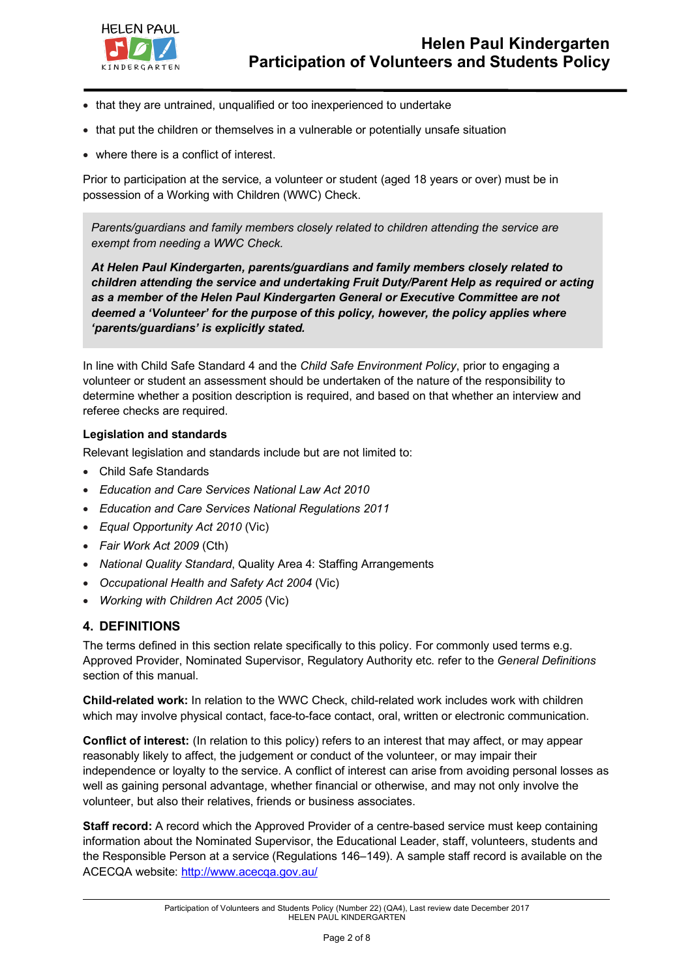

- that they are untrained, unqualified or too inexperienced to undertake
- that put the children or themselves in a vulnerable or potentially unsafe situation
- where there is a conflict of interest.

Prior to participation at the service, a volunteer or student (aged 18 years or over) must be in possession of a Working with Children (WWC) Check.

*Parents/guardians and family members closely related to children attending the service are exempt from needing a WWC Check.* 

*At Helen Paul Kindergarten, parents/guardians and family members closely related to children attending the service and undertaking Fruit Duty/Parent Help as required or acting as a member of the Helen Paul Kindergarten General or Executive Committee are not deemed a 'Volunteer' for the purpose of this policy, however, the policy applies where 'parents/guardians' is explicitly stated.*

In line with Child Safe Standard 4 and the *Child Safe Environment Policy*, prior to engaging a volunteer or student an assessment should be undertaken of the nature of the responsibility to determine whether a position description is required, and based on that whether an interview and referee checks are required.

#### **Legislation and standards**

Relevant legislation and standards include but are not limited to:

- Child Safe Standards
- *Education and Care Services National Law Act 2010*
- *Education and Care Services National Regulations 2011*
- *Equal Opportunity Act 2010* (Vic)
- *Fair Work Act 2009* (Cth)
- *National Quality Standard*, Quality Area 4: Staffing Arrangements
- *Occupational Health and Safety Act 2004* (Vic)
- *Working with Children Act 2005* (Vic)

### **4. DEFINITIONS**

The terms defined in this section relate specifically to this policy. For commonly used terms e.g. Approved Provider, Nominated Supervisor, Regulatory Authority etc. refer to the *General Definitions* section of this manual.

**Child-related work:** In relation to the WWC Check, child-related work includes work with children which may involve physical contact, face-to-face contact, oral, written or electronic communication.

**Conflict of interest:** (In relation to this policy) refers to an interest that may affect, or may appear reasonably likely to affect, the judgement or conduct of the volunteer, or may impair their independence or loyalty to the service. A conflict of interest can arise from avoiding personal losses as well as gaining personal advantage, whether financial or otherwise, and may not only involve the volunteer, but also their relatives, friends or business associates.

**Staff record:** A record which the Approved Provider of a centre-based service must keep containing information about the Nominated Supervisor, the Educational Leader, staff, volunteers, students and the Responsible Person at a service (Regulations 146–149). A sample staff record is available on the ACECQA website: http://www.acecqa.gov.au/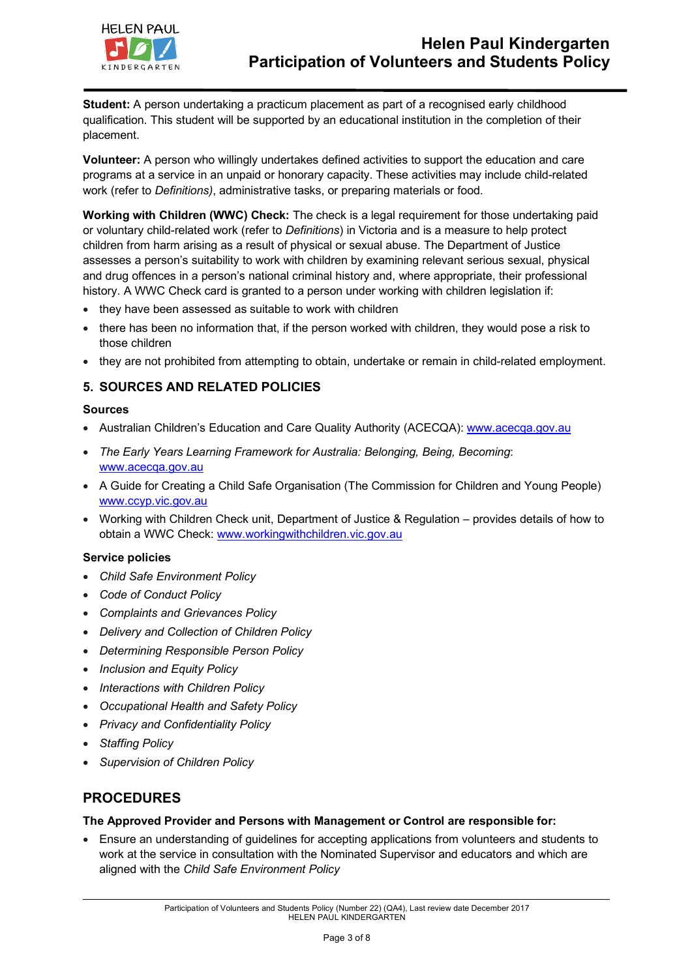

**Student:** A person undertaking a practicum placement as part of a recognised early childhood qualification. This student will be supported by an educational institution in the completion of their placement.

**Volunteer:** A person who willingly undertakes defined activities to support the education and care programs at a service in an unpaid or honorary capacity. These activities may include child-related work (refer to *Definitions)*, administrative tasks, or preparing materials or food.

**Working with Children (WWC) Check:** The check is a legal requirement for those undertaking paid or voluntary child-related work (refer to *Definitions*) in Victoria and is a measure to help protect children from harm arising as a result of physical or sexual abuse. The Department of Justice assesses a person's suitability to work with children by examining relevant serious sexual, physical and drug offences in a person's national criminal history and, where appropriate, their professional history. A WWC Check card is granted to a person under working with children legislation if:

- they have been assessed as suitable to work with children
- there has been no information that, if the person worked with children, they would pose a risk to those children
- they are not prohibited from attempting to obtain, undertake or remain in child-related employment.

### **5. SOURCES AND RELATED POLICIES**

#### **Sources**

- Australian Children's Education and Care Quality Authority (ACECQA): www.acecqa.gov.au
- *The Early Years Learning Framework for Australia: Belonging, Being, Becoming*: www.acecqa.gov.au
- A Guide for Creating a Child Safe Organisation (The Commission for Children and Young People) www.ccyp.vic.gov.au
- Working with Children Check unit, Department of Justice & Regulation provides details of how to obtain a WWC Check: www.workingwithchildren.vic.gov.au

#### **Service policies**

- *Child Safe Environment Policy*
- *Code of Conduct Policy*
- *Complaints and Grievances Policy*
- *Delivery and Collection of Children Policy*
- *Determining Responsible Person Policy*
- *Inclusion and Equity Policy*
- *Interactions with Children Policy*
- *Occupational Health and Safety Policy*
- *Privacy and Confidentiality Policy*
- *Staffing Policy*
- *Supervision of Children Policy*

## **PROCEDURES**

#### **The Approved Provider and Persons with Management or Control are responsible for:**

• Ensure an understanding of guidelines for accepting applications from volunteers and students to work at the service in consultation with the Nominated Supervisor and educators and which are aligned with the *Child Safe Environment Policy*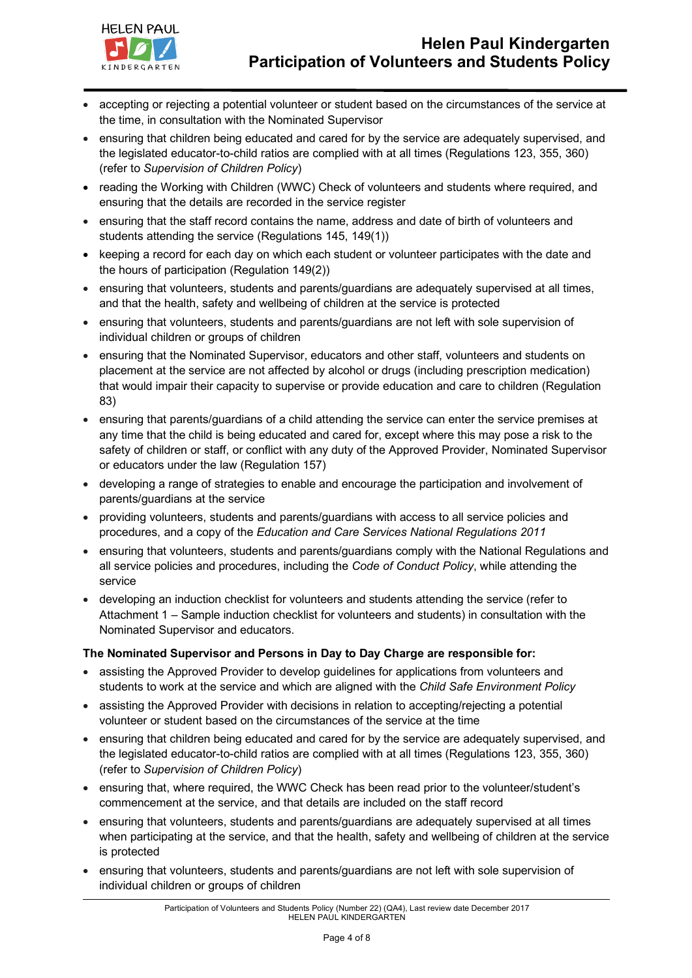

- accepting or rejecting a potential volunteer or student based on the circumstances of the service at the time, in consultation with the Nominated Supervisor
- ensuring that children being educated and cared for by the service are adequately supervised, and the legislated educator-to-child ratios are complied with at all times (Regulations 123, 355, 360) (refer to *Supervision of Children Policy*)
- reading the Working with Children (WWC) Check of volunteers and students where required, and ensuring that the details are recorded in the service register
- ensuring that the staff record contains the name, address and date of birth of volunteers and students attending the service (Regulations 145, 149(1))
- keeping a record for each day on which each student or volunteer participates with the date and the hours of participation (Regulation 149(2))
- ensuring that volunteers, students and parents/guardians are adequately supervised at all times, and that the health, safety and wellbeing of children at the service is protected
- ensuring that volunteers, students and parents/guardians are not left with sole supervision of individual children or groups of children
- ensuring that the Nominated Supervisor, educators and other staff, volunteers and students on placement at the service are not affected by alcohol or drugs (including prescription medication) that would impair their capacity to supervise or provide education and care to children (Regulation 83)
- ensuring that parents/guardians of a child attending the service can enter the service premises at any time that the child is being educated and cared for, except where this may pose a risk to the safety of children or staff, or conflict with any duty of the Approved Provider, Nominated Supervisor or educators under the law (Regulation 157)
- developing a range of strategies to enable and encourage the participation and involvement of parents/guardians at the service
- providing volunteers, students and parents/guardians with access to all service policies and procedures, and a copy of the *Education and Care Services National Regulations 2011*
- ensuring that volunteers, students and parents/guardians comply with the National Regulations and all service policies and procedures, including the *Code of Conduct Policy*, while attending the service
- developing an induction checklist for volunteers and students attending the service (refer to Attachment 1 – Sample induction checklist for volunteers and students) in consultation with the Nominated Supervisor and educators.

#### **The Nominated Supervisor and Persons in Day to Day Charge are responsible for:**

- assisting the Approved Provider to develop guidelines for applications from volunteers and students to work at the service and which are aligned with the *Child Safe Environment Policy*
- assisting the Approved Provider with decisions in relation to accepting/rejecting a potential volunteer or student based on the circumstances of the service at the time
- ensuring that children being educated and cared for by the service are adequately supervised, and the legislated educator-to-child ratios are complied with at all times (Regulations 123, 355, 360) (refer to *Supervision of Children Policy*)
- ensuring that, where required, the WWC Check has been read prior to the volunteer/student's commencement at the service, and that details are included on the staff record
- ensuring that volunteers, students and parents/guardians are adequately supervised at all times when participating at the service, and that the health, safety and wellbeing of children at the service is protected
- ensuring that volunteers, students and parents/guardians are not left with sole supervision of individual children or groups of children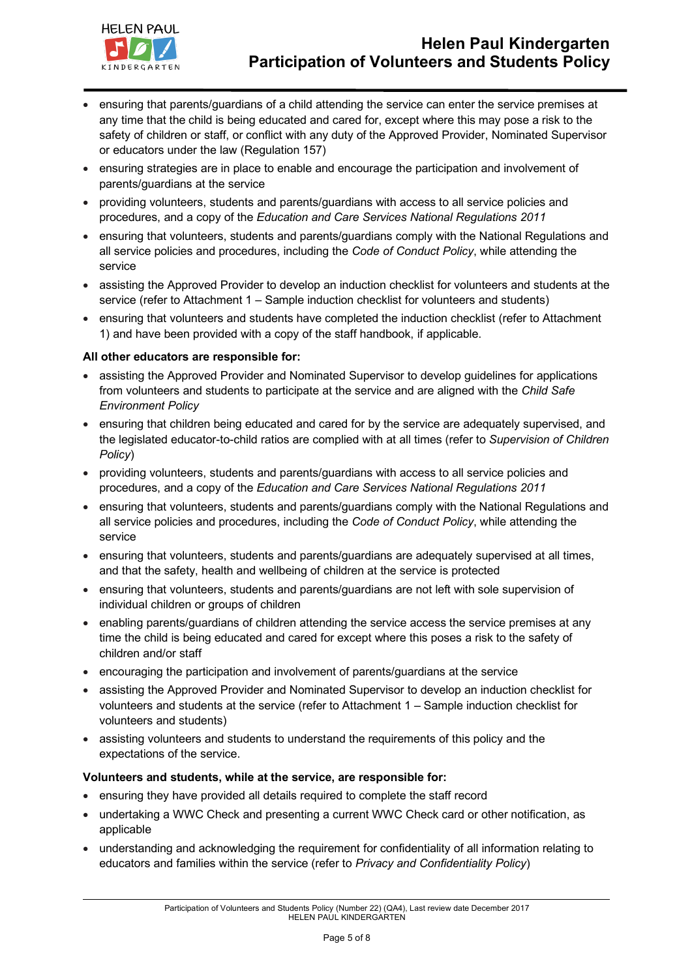

- ensuring that parents/guardians of a child attending the service can enter the service premises at any time that the child is being educated and cared for, except where this may pose a risk to the safety of children or staff, or conflict with any duty of the Approved Provider, Nominated Supervisor or educators under the law (Regulation 157)
- ensuring strategies are in place to enable and encourage the participation and involvement of parents/guardians at the service
- providing volunteers, students and parents/guardians with access to all service policies and procedures, and a copy of the *Education and Care Services National Regulations 2011*
- ensuring that volunteers, students and parents/guardians comply with the National Regulations and all service policies and procedures, including the *Code of Conduct Policy*, while attending the service
- assisting the Approved Provider to develop an induction checklist for volunteers and students at the service (refer to Attachment 1 – Sample induction checklist for volunteers and students)
- ensuring that volunteers and students have completed the induction checklist (refer to Attachment 1) and have been provided with a copy of the staff handbook, if applicable.

#### **All other educators are responsible for:**

- assisting the Approved Provider and Nominated Supervisor to develop guidelines for applications from volunteers and students to participate at the service and are aligned with the *Child Safe Environment Policy*
- ensuring that children being educated and cared for by the service are adequately supervised, and the legislated educator-to-child ratios are complied with at all times (refer to *Supervision of Children Policy*)
- providing volunteers, students and parents/guardians with access to all service policies and procedures, and a copy of the *Education and Care Services National Regulations 2011*
- ensuring that volunteers, students and parents/guardians comply with the National Regulations and all service policies and procedures, including the *Code of Conduct Policy*, while attending the service
- ensuring that volunteers, students and parents/guardians are adequately supervised at all times, and that the safety, health and wellbeing of children at the service is protected
- ensuring that volunteers, students and parents/guardians are not left with sole supervision of individual children or groups of children
- enabling parents/guardians of children attending the service access the service premises at any time the child is being educated and cared for except where this poses a risk to the safety of children and/or staff
- encouraging the participation and involvement of parents/guardians at the service
- assisting the Approved Provider and Nominated Supervisor to develop an induction checklist for volunteers and students at the service (refer to Attachment 1 – Sample induction checklist for volunteers and students)
- assisting volunteers and students to understand the requirements of this policy and the expectations of the service.

#### **Volunteers and students, while at the service, are responsible for:**

- ensuring they have provided all details required to complete the staff record
- undertaking a WWC Check and presenting a current WWC Check card or other notification, as applicable
- understanding and acknowledging the requirement for confidentiality of all information relating to educators and families within the service (refer to *Privacy and Confidentiality Policy*)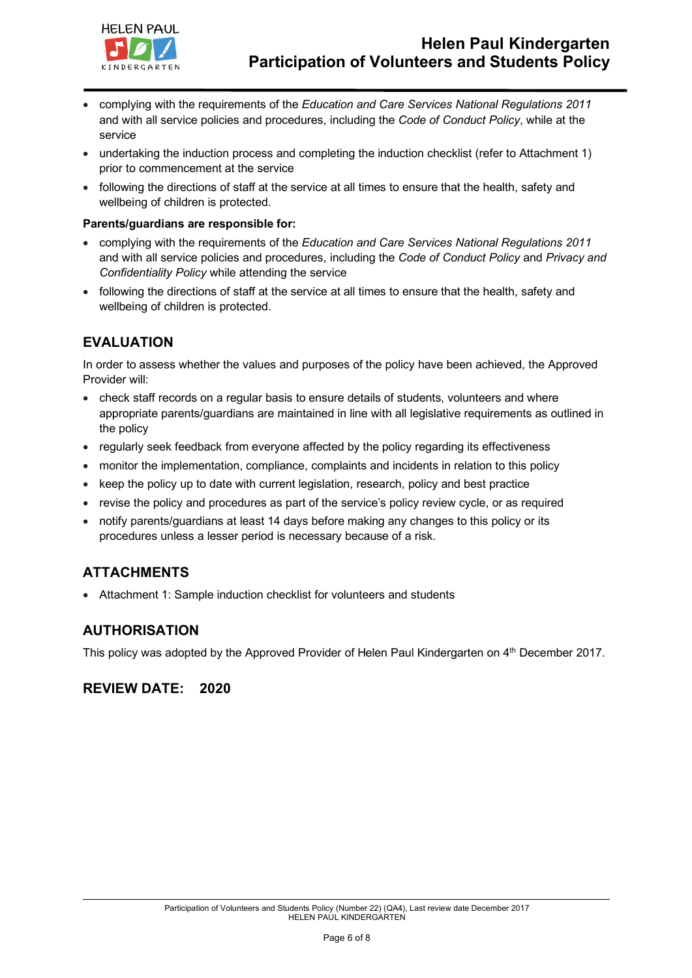

- complying with the requirements of the *Education and Care Services National Regulations 2011* and with all service policies and procedures, including the *Code of Conduct Policy*, while at the service
- undertaking the induction process and completing the induction checklist (refer to Attachment 1) prior to commencement at the service
- following the directions of staff at the service at all times to ensure that the health, safety and wellbeing of children is protected.

#### **Parents/guardians are responsible for:**

- complying with the requirements of the *Education and Care Services National Regulations 2011* and with all service policies and procedures, including the *Code of Conduct Policy* and *Privacy and Confidentiality Policy* while attending the service
- following the directions of staff at the service at all times to ensure that the health, safety and wellbeing of children is protected.

## **EVALUATION**

In order to assess whether the values and purposes of the policy have been achieved, the Approved Provider will:

- check staff records on a regular basis to ensure details of students, volunteers and where appropriate parents/guardians are maintained in line with all legislative requirements as outlined in the policy
- regularly seek feedback from everyone affected by the policy regarding its effectiveness
- monitor the implementation, compliance, complaints and incidents in relation to this policy
- keep the policy up to date with current legislation, research, policy and best practice
- revise the policy and procedures as part of the service's policy review cycle, or as required
- notify parents/guardians at least 14 days before making any changes to this policy or its procedures unless a lesser period is necessary because of a risk.

## **ATTACHMENTS**

• Attachment 1: Sample induction checklist for volunteers and students

## **AUTHORISATION**

This policy was adopted by the Approved Provider of Helen Paul Kindergarten on 4<sup>th</sup> December 2017.

## **REVIEW DATE: 2020**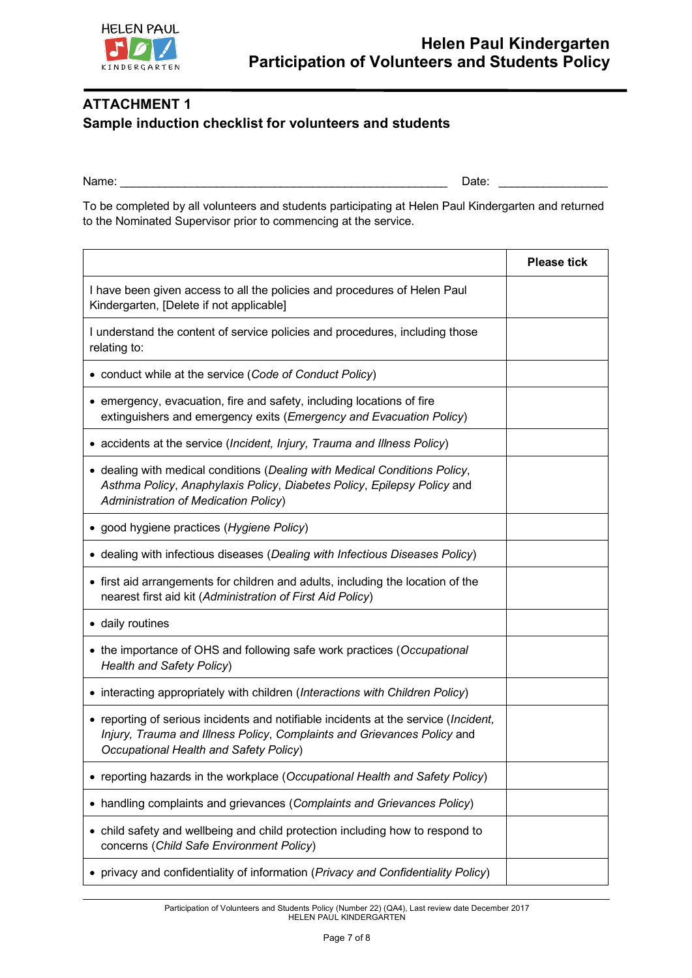

# **ATTACHMENT 1 Sample induction checklist for volunteers and students**

Name: The contract of the contract of the contract of the contract of the contract of  $\Box$  Date:  $\Box$ 

To be completed by all volunteers and students participating at Helen Paul Kindergarten and returned to the Nominated Supervisor prior to commencing at the service.

|                                                                                                                                                                                                          | <b>Please tick</b> |
|----------------------------------------------------------------------------------------------------------------------------------------------------------------------------------------------------------|--------------------|
| I have been given access to all the policies and procedures of Helen Paul<br>Kindergarten, [Delete if not applicable]                                                                                    |                    |
| I understand the content of service policies and procedures, including those<br>relating to:                                                                                                             |                    |
| • conduct while at the service (Code of Conduct Policy)                                                                                                                                                  |                    |
| • emergency, evacuation, fire and safety, including locations of fire<br>extinguishers and emergency exits (Emergency and Evacuation Policy)                                                             |                    |
| • accidents at the service (Incident, Injury, Trauma and Illness Policy)                                                                                                                                 |                    |
| • dealing with medical conditions (Dealing with Medical Conditions Policy,<br>Asthma Policy, Anaphylaxis Policy, Diabetes Policy, Epilepsy Policy and<br><b>Administration of Medication Policy)</b>     |                    |
| • good hygiene practices (Hygiene Policy)                                                                                                                                                                |                    |
| • dealing with infectious diseases (Dealing with Infectious Diseases Policy)                                                                                                                             |                    |
| • first aid arrangements for children and adults, including the location of the<br>nearest first aid kit (Administration of First Aid Policy)                                                            |                    |
| • daily routines                                                                                                                                                                                         |                    |
| • the importance of OHS and following safe work practices (Occupational<br><b>Health and Safety Policy)</b>                                                                                              |                    |
| • interacting appropriately with children (Interactions with Children Policy)                                                                                                                            |                    |
| • reporting of serious incidents and notifiable incidents at the service (Incident,<br>Injury, Trauma and Illness Policy, Complaints and Grievances Policy and<br>Occupational Health and Safety Policy) |                    |
| • reporting hazards in the workplace (Occupational Health and Safety Policy)                                                                                                                             |                    |
| • handling complaints and grievances (Complaints and Grievances Policy)                                                                                                                                  |                    |
| • child safety and wellbeing and child protection including how to respond to<br>concerns (Child Safe Environment Policy)                                                                                |                    |
| privacy and confidentiality of information (Privacy and Confidentiality Policy)                                                                                                                          |                    |